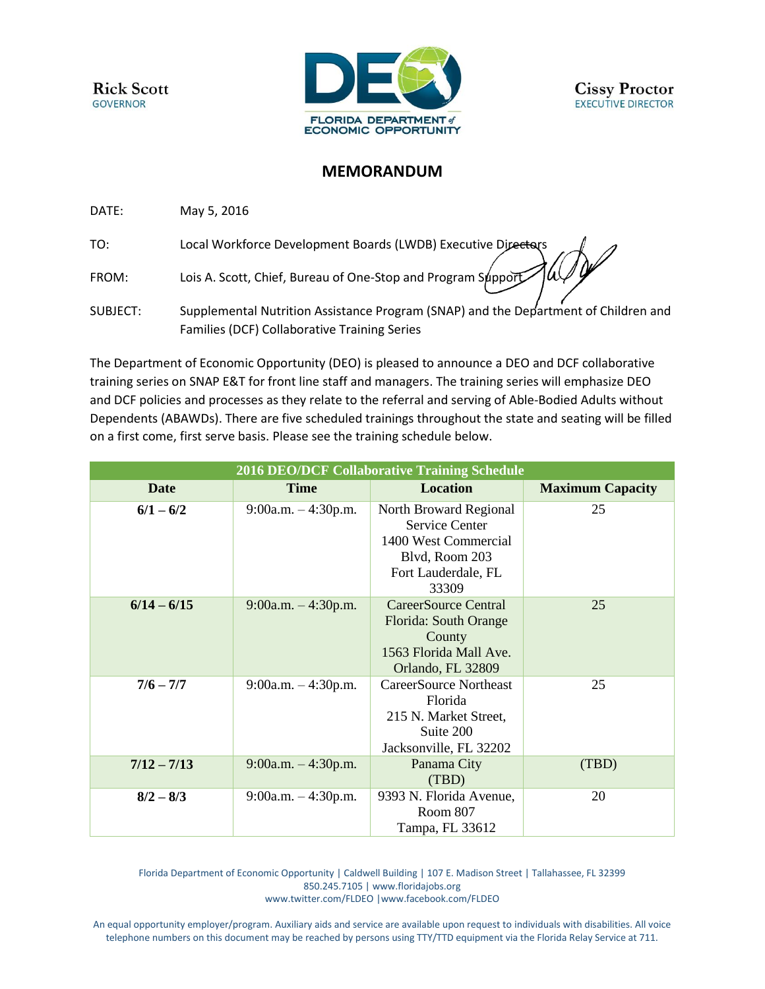**Rick Scott GOVERNOR** 



## **MEMORANDUM**

DATE: May 5, 2016

TO: Local Workforce Development Boards (LWDB) Executive Directors

FROM: Lois A. Scott, Chief, Bureau of One-Stop and Program Support

SUBJECT: Supplemental Nutrition Assistance Program (SNAP) and the Department of Children and Families (DCF) Collaborative Training Series

The Department of Economic Opportunity (DEO) is pleased to announce a DEO and DCF collaborative training series on SNAP E&T for front line staff and managers. The training series will emphasize DEO and DCF policies and processes as they relate to the referral and serving of Able-Bodied Adults without Dependents (ABAWDs). There are five scheduled trainings throughout the state and seating will be filled on a first come, first serve basis. Please see the training schedule below.

| <b>2016 DEO/DCF Collaborative Training Schedule</b> |                       |                                                                                                                           |                         |
|-----------------------------------------------------|-----------------------|---------------------------------------------------------------------------------------------------------------------------|-------------------------|
| <b>Date</b>                                         | <b>Time</b>           | <b>Location</b>                                                                                                           | <b>Maximum Capacity</b> |
| $6/1 - 6/2$                                         | $9:00a.m. - 4:30p.m.$ | North Broward Regional<br><b>Service Center</b><br>1400 West Commercial<br>Blvd, Room 203<br>Fort Lauderdale, FL<br>33309 | 25                      |
| $6/14 - 6/15$                                       | $9:00a.m. - 4:30p.m.$ | CareerSource Central<br>Florida: South Orange<br>County<br>1563 Florida Mall Ave.<br>Orlando, FL 32809                    | 25                      |
| $7/6 - 7/7$                                         | $9:00a.m. - 4:30p.m.$ | <b>CareerSource Northeast</b><br>Florida<br>215 N. Market Street,<br>Suite 200<br>Jacksonville, FL 32202                  | 25                      |
| $7/12 - 7/13$                                       | $9:00a.m. - 4:30p.m.$ | Panama City<br>(TBD)                                                                                                      | (TBD)                   |
| $8/2 - 8/3$                                         | $9:00a.m. - 4:30p.m.$ | 9393 N. Florida Avenue,<br>Room 807<br>Tampa, FL 33612                                                                    | 20                      |

Florida Department of Economic Opportunity | Caldwell Building | 107 E. Madison Street | Tallahassee, FL 32399 850.245.7105 [| www.floridajobs.org](http://www.floridajobs.org/) [www.twitter.com/FLDEO](http://www.twitter.com/FLDEO) |www.facebook.com/FLDEO

An equal opportunity employer/program. Auxiliary aids and service are available upon request to individuals with disabilities. All voice telephone numbers on this document may be reached by persons using TTY/TTD equipment via the Florida Relay Service at 711.